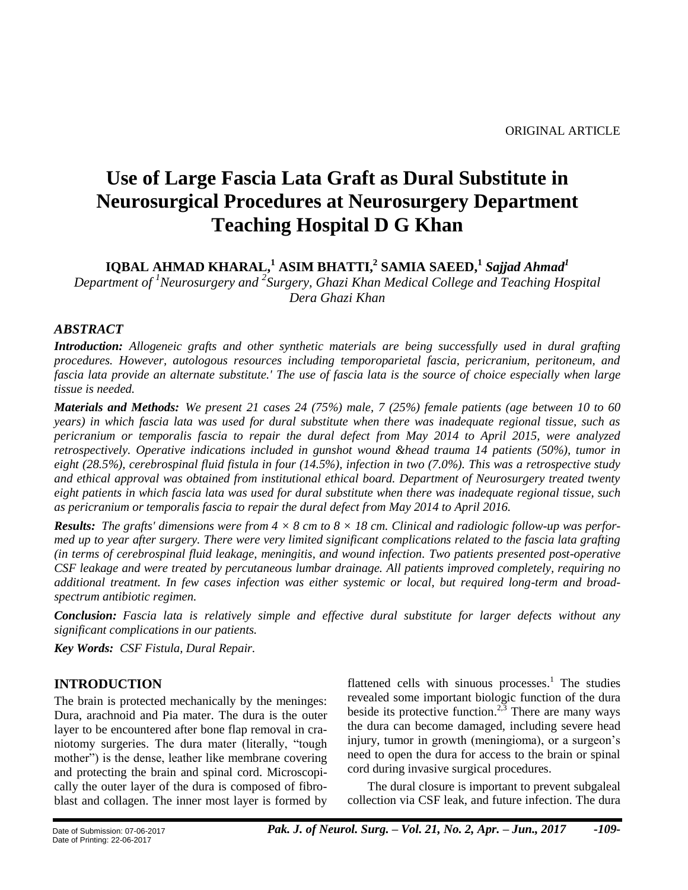# **Use of Large Fascia Lata Graft as Dural Substitute in Neurosurgical Procedures at Neurosurgery Department Teaching Hospital D G Khan**

**IQBAL AHMAD KHARAL,<sup>1</sup> ASIM BHATTI,<sup>2</sup> SAMIA SAEED,<sup>1</sup>** *Sajjad Ahmad<sup>1</sup>*

*Department of <sup>1</sup>Neurosurgery and <sup>2</sup> Surgery, Ghazi Khan Medical College and Teaching Hospital Dera Ghazi Khan*

#### *ABSTRACT*

*Introduction: Allogeneic grafts and other synthetic materials are being successfully used in dural grafting procedures. However, autologous resources including temporoparietal fascia, pericranium, peritoneum, and fascia lata provide an alternate substitute.' The use of fascia lata is the source of choice especially when large tissue is needed.*

*Materials and Methods: We present 21 cases 24 (75%) male, 7 (25%) female patients (age between 10 to 60 years) in which fascia lata was used for dural substitute when there was inadequate regional tissue, such as pericranium or temporalis fascia to repair the dural defect from May 2014 to April 2015, were analyzed retrospectively. Operative indications included in gunshot wound &head trauma 14 patients (50%), tumor in eight (28.5%), cerebrospinal fluid fistula in four (14.5%), infection in two (7.0%). This was a retrospective study and ethical approval was obtained from institutional ethical board. Department of Neurosurgery treated twenty eight patients in which fascia lata was used for dural substitute when there was inadequate regional tissue, such as pericranium or temporalis fascia to repair the dural defect from May 2014 to April 2016.*

*Results: The grafts' dimensions were from 4 × 8 cm to 8 × 18 cm. Clinical and radiologic follow-up was performed up to year after surgery. There were very limited significant complications related to the fascia lata grafting (in terms of cerebrospinal fluid leakage, meningitis, and wound infection. Two patients presented post-operative CSF leakage and were treated by percutaneous lumbar drainage. All patients improved completely, requiring no additional treatment. In few cases infection was either systemic or local, but required long-term and broadspectrum antibiotic regimen.*

*Conclusion: Fascia lata is relatively simple and effective dural substitute for larger defects without any significant complications in our patients.*

*Key Words: CSF Fistula, Dural Repair.*

#### **INTRODUCTION**

The brain is protected mechanically by the meninges: Dura, arachnoid and Pia mater. The dura is the outer layer to be encountered after bone flap removal in craniotomy surgeries. The dura mater (literally, "tough mother") is the dense, leather like membrane covering and protecting the brain and spinal cord. Microscopically the outer layer of the dura is composed of fibroblast and collagen. The inner most layer is formed by

flattened cells with sinuous processes.<sup>1</sup> The studies revealed some important biologic function of the dura beside its protective function.<sup>2,3</sup> There are many ways the dura can become damaged, including severe head injury, tumor in growth (meningioma), or a surgeon's need to open the dura for access to the brain or spinal cord during invasive surgical procedures.

The dural closure is important to prevent subgaleal collection via CSF leak, and future infection. The dura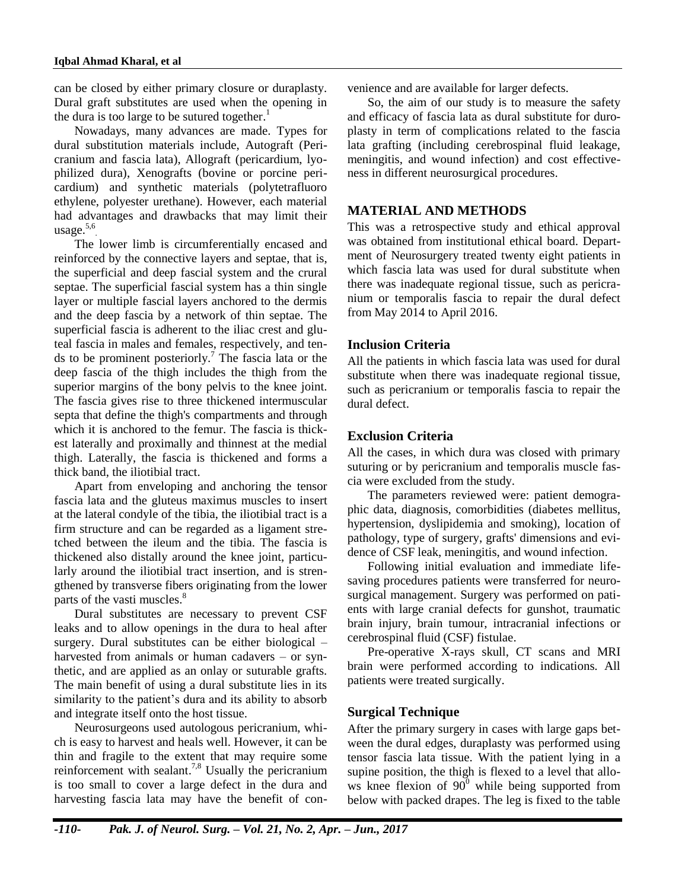can be closed by either primary closure or duraplasty. Dural graft substitutes are used when the opening in the dura is too large to be sutured together.<sup>1</sup>

Nowadays, many advances are made. Types for dural substitution materials include, Autograft (Pericranium and fascia lata), Allograft (pericardium, lyophilized dura), Xenografts (bovine or porcine pericardium) and synthetic materials (polytetrafluoro ethylene, polyester urethane). However, each material had advantages and drawbacks that may limit their usage. 5,6 .

The lower limb is circumferentially encased and reinforced by the connective layers and septae, that is, the superficial and deep fascial system and the crural septae. The superficial fascial system has a thin single layer or multiple fascial layers anchored to the dermis and the deep fascia by a network of thin septae. The superficial fascia is adherent to the iliac crest and gluteal fascia in males and females, respectively, and tends to be prominent posteriorly.<sup>7</sup> The fascia lata or the deep fascia of the thigh includes the thigh from the superior margins of the bony pelvis to the knee joint. The fascia gives rise to three thickened intermuscular septa that define the thigh's compartments and through which it is anchored to the femur. The fascia is thickest laterally and proximally and thinnest at the medial thigh. Laterally, the fascia is thickened and forms a thick band, the iliotibial tract.

Apart from enveloping and anchoring the tensor fascia lata and the gluteus maximus muscles to insert at the lateral condyle of the tibia, the iliotibial tract is a firm structure and can be regarded as a ligament stretched between the ileum and the tibia. The fascia is thickened also distally around the knee joint, particularly around the iliotibial tract insertion, and is strengthened by transverse fibers originating from the lower parts of the vasti muscles. 8

Dural substitutes are necessary to prevent CSF leaks and to allow openings in the dura to heal after surgery. Dural substitutes can be either biological – harvested from animals or human cadavers – or synthetic, and are applied as an onlay or suturable grafts. The main benefit of using a dural substitute lies in its similarity to the patient's dura and its ability to absorb and integrate itself onto the host tissue.

Neurosurgeons used autologous pericranium, which is easy to harvest and heals well. However, it can be thin and fragile to the extent that may require some reinforcement with sealant.<sup>7,8</sup> Usually the pericranium is too small to cover a large defect in the dura and harvesting fascia lata may have the benefit of convenience and are available for larger defects.

So, the aim of our study is to measure the safety and efficacy of fascia lata as dural substitute for duroplasty in term of complications related to the fascia lata grafting (including cerebrospinal fluid leakage, meningitis, and wound infection) and cost effectiveness in different neurosurgical procedures.

#### **MATERIAL AND METHODS**

This was a retrospective study and ethical approval was obtained from institutional ethical board. Department of Neurosurgery treated twenty eight patients in which fascia lata was used for dural substitute when there was inadequate regional tissue, such as pericranium or temporalis fascia to repair the dural defect from May 2014 to April 2016.

#### **Inclusion Criteria**

All the patients in which fascia lata was used for dural substitute when there was inadequate regional tissue, such as pericranium or temporalis fascia to repair the dural defect.

#### **Exclusion Criteria**

All the cases, in which dura was closed with primary suturing or by pericranium and temporalis muscle fascia were excluded from the study.

The parameters reviewed were: patient demographic data, diagnosis, comorbidities (diabetes mellitus, hypertension, dyslipidemia and smoking), location of pathology, type of surgery, grafts' dimensions and evidence of CSF leak, meningitis, and wound infection.

Following initial evaluation and immediate lifesaving procedures patients were transferred for neurosurgical management. Surgery was performed on patients with large cranial defects for gunshot, traumatic brain injury, brain tumour, intracranial infections or cerebrospinal fluid (CSF) fistulae.

Pre-operative X-rays skull, CT scans and MRI brain were performed according to indications. All patients were treated surgically.

#### **Surgical Technique**

After the primary surgery in cases with large gaps between the dural edges, duraplasty was performed using tensor fascia lata tissue. With the patient lying in a supine position, the thigh is flexed to a level that allows knee flexion of  $90^0$  while being supported from below with packed drapes. The leg is fixed to the table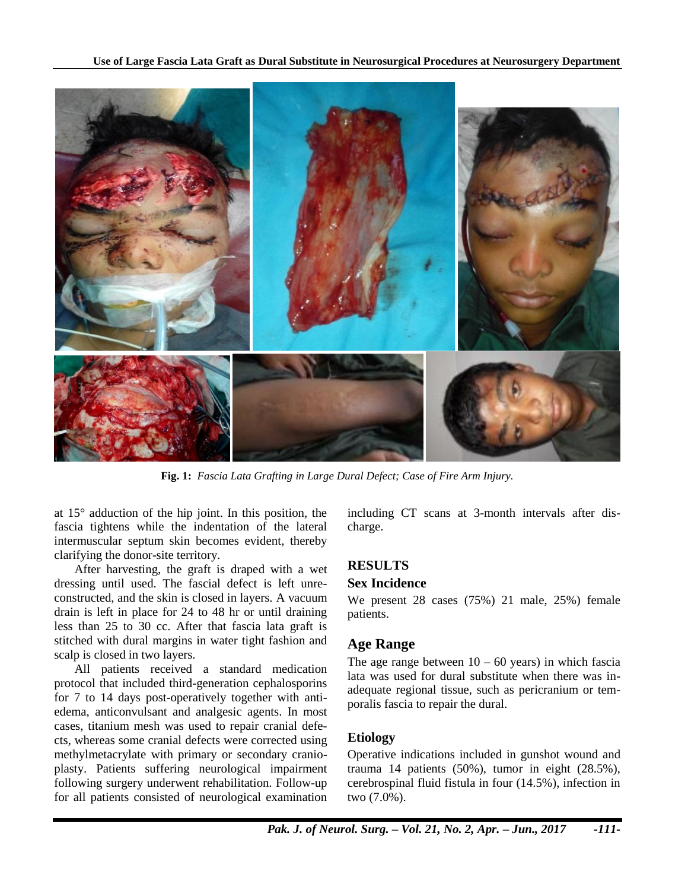

**Fig. 1:** *Fascia Lata Grafting in Large Dural Defect; Case of Fire Arm Injury.*

at 15° adduction of the hip joint. In this position, the fascia tightens while the indentation of the lateral intermuscular septum skin becomes evident, thereby clarifying the donor-site territory.

After harvesting, the graft is draped with a wet dressing until used. The fascial defect is left unreconstructed, and the skin is closed in layers. A vacuum drain is left in place for 24 to 48 hr or until draining less than 25 to 30 cc. After that fascia lata graft is stitched with dural margins in water tight fashion and scalp is closed in two layers.

All patients received a standard medication protocol that included third-generation cephalosporins for 7 to 14 days post-operatively together with antiedema, anticonvulsant and analgesic agents. In most cases, titanium mesh was used to repair cranial defects, whereas some cranial defects were corrected using methylmetacrylate with primary or secondary cranioplasty. Patients suffering neurological impairment following surgery underwent rehabilitation. Follow-up for all patients consisted of neurological examination

including CT scans at 3-month intervals after discharge.

## **RESULTS**

## **Sex Incidence**

We present 28 cases (75%) 21 male, 25%) female patients.

## **Age Range**

The age range between  $10 - 60$  years) in which fascia lata was used for dural substitute when there was inadequate regional tissue, such as pericranium or temporalis fascia to repair the dural.

#### **Etiology**

Operative indications included in gunshot wound and trauma 14 patients (50%), tumor in eight (28.5%), cerebrospinal fluid fistula in four (14.5%), infection in two (7.0%).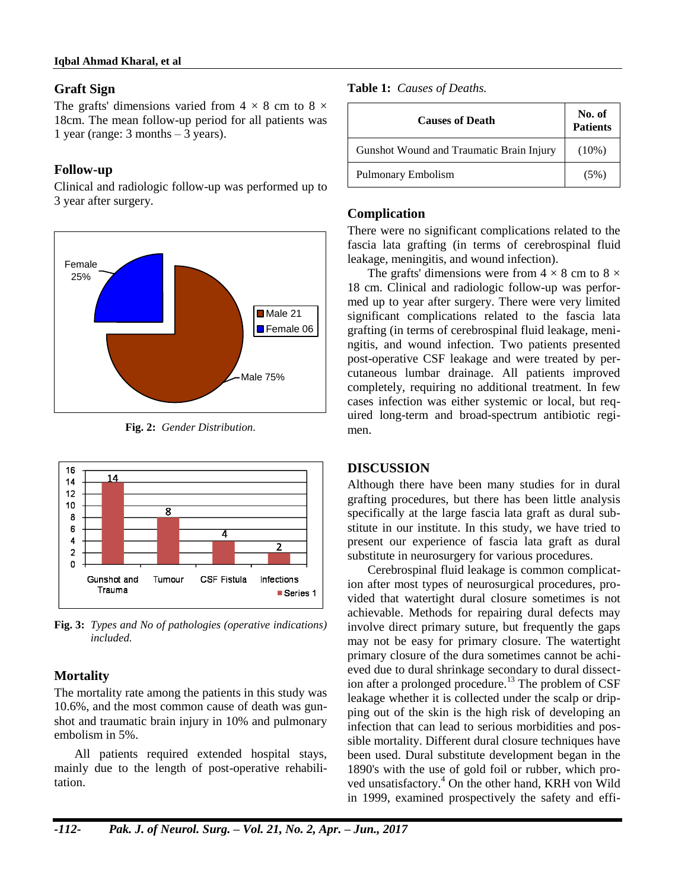#### **Iqbal Ahmad Kharal, et al**

#### **Graft Sign**

The grafts' dimensions varied from  $4 \times 8$  cm to  $8 \times$ 18cm. The mean follow-up period for all patients was 1 year (range:  $3$  months  $-3$  years).

#### **Follow-up**

Clinical and radiologic follow-up was performed up to 3 year after surgery.



**Fig. 2:** *Gender Distribution.*



**Fig. 3:** *Types and No of pathologies (operative indications) included.*

#### **Mortality**

The mortality rate among the patients in this study was 10.6%, and the most common cause of death was gunshot and traumatic brain injury in 10% and pulmonary embolism in 5%.

All patients required extended hospital stays, mainly due to the length of post-operative rehabilitation.

#### **Table 1:** *Causes of Deaths.*

| <b>Causes of Death</b>                   | No. of<br><b>Patients</b> |
|------------------------------------------|---------------------------|
| Gunshot Wound and Traumatic Brain Injury | $(10\%)$                  |
| Pulmonary Embolism                       | $(5\%)$                   |

#### **Complication**

There were no significant complications related to the fascia lata grafting (in terms of cerebrospinal fluid leakage, meningitis, and wound infection).

The grafts' dimensions were from  $4 \times 8$  cm to  $8 \times$ 18 cm. Clinical and radiologic follow-up was performed up to year after surgery. There were very limited significant complications related to the fascia lata grafting (in terms of cerebrospinal fluid leakage, meningitis, and wound infection. Two patients presented post-operative CSF leakage and were treated by percutaneous lumbar drainage. All patients improved completely, requiring no additional treatment. In few cases infection was either systemic or local, but required long-term and broad-spectrum antibiotic regimen.

#### **DISCUSSION**

Although there have been many studies for in dural grafting procedures, but there has been little analysis specifically at the large fascia lata graft as dural substitute in our institute. In this study, we have tried to present our experience of fascia lata graft as dural substitute in neurosurgery for various procedures.

Cerebrospinal fluid leakage is common complication after most types of neurosurgical procedures, provided that watertight dural closure sometimes is not achievable. Methods for repairing dural defects may involve direct primary suture, but frequently the gaps may not be easy for primary closure. The watertight primary closure of the dura sometimes cannot be achieved due to dural shrinkage secondary to dural dissection after a prolonged procedure.<sup>13</sup> The problem of  $CSF$ leakage whether it is collected under the scalp or dripping out of the skin is the high risk of developing an infection that can lead to serious morbidities and possible mortality. Different dural closure techniques have been used. Dural substitute development began in the 1890's with the use of gold foil or rubber, which proved unsatisfactory.<sup>4</sup> On the other hand, KRH von Wild in 1999, examined prospectively the safety and effi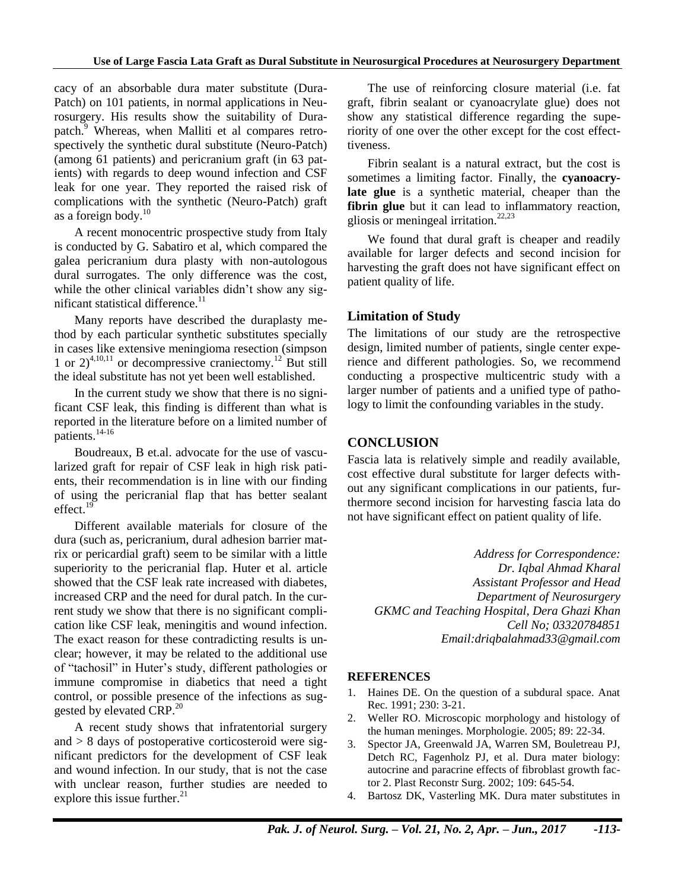cacy of an absorbable dura mater substitute (Dura-Patch) on 101 patients, in normal applications in Neurosurgery. His results show the suitability of Durapatch.<sup>9</sup> Whereas, when Malliti et al compares retrospectively the synthetic dural substitute (Neuro-Patch) (among 61 patients) and pericranium graft (in 63 patients) with regards to deep wound infection and CSF leak for one year. They reported the raised risk of complications with the synthetic (Neuro-Patch) graft as a foreign body.<sup>10</sup>

A recent monocentric prospective study from Italy is conducted by G. Sabatiro et al, which compared the galea pericranium dura plasty with non-autologous dural surrogates. The only difference was the cost, while the other clinical variables didn't show any significant statistical difference.<sup>11</sup>

Many reports have described the duraplasty method by each particular synthetic substitutes specially in cases like extensive meningioma resection (simpson 1 or  $2)^{4,10,11}$  or decompressive craniectomy.<sup>12</sup> But still the ideal substitute has not yet been well established.

In the current study we show that there is no significant CSF leak, this finding is different than what is reported in the literature before on a limited number of patients.<sup>14-16</sup>

Boudreaux, B et.al. advocate for the use of vascularized graft for repair of CSF leak in high risk patients, their recommendation is in line with our finding of using the pericranial flap that has better sealant effect.<sup>19</sup>

Different available materials for closure of the dura (such as, pericranium, dural adhesion barrier matrix or pericardial graft) seem to be similar with a little superiority to the pericranial flap. Huter et al. article showed that the CSF leak rate increased with diabetes, increased CRP and the need for dural patch. In the current study we show that there is no significant complication like CSF leak, meningitis and wound infection. The exact reason for these contradicting results is unclear; however, it may be related to the additional use of "tachosil" in Huter's study, different pathologies or immune compromise in diabetics that need a tight control, or possible presence of the infections as suggested by elevated CRP.<sup>20</sup>

A recent study shows that infratentorial surgery and > 8 days of postoperative corticosteroid were significant predictors for the development of CSF leak and wound infection. In our study, that is not the case with unclear reason, further studies are needed to explore this issue further. $21$ 

The use of reinforcing closure material (i.e. fat graft, fibrin sealant or cyanoacrylate glue) does not show any statistical difference regarding the superiority of one over the other except for the cost effecttiveness.

Fibrin sealant is a natural extract, but the cost is sometimes a limiting factor. Finally, the **cyanoacrylate glue** is a synthetic material, cheaper than the fibrin glue but it can lead to inflammatory reaction, gliosis or meningeal irritation. $22,23$ 

We found that dural graft is cheaper and readily available for larger defects and second incision for harvesting the graft does not have significant effect on patient quality of life.

### **Limitation of Study**

The limitations of our study are the retrospective design, limited number of patients, single center experience and different pathologies. So, we recommend conducting a prospective multicentric study with a larger number of patients and a unified type of pathology to limit the confounding variables in the study.

## **CONCLUSION**

Fascia lata is relatively simple and readily available, cost effective dural substitute for larger defects without any significant complications in our patients, furthermore second incision for harvesting fascia lata do not have significant effect on patient quality of life.

*Address for Correspondence: Dr. Iqbal Ahmad Kharal Assistant Professor and Head Department of Neurosurgery GKMC and Teaching Hospital, Dera Ghazi Khan Cell No; 03320784851 Email:driqbalahmad33@gmail.com*

## **REFERENCES**

- 1. Haines DE. On the question of a subdural space. Anat Rec. 1991; 230: 3-21.
- 2. Weller RO. Microscopic morphology and histology of the human meninges. Morphologie. 2005; 89: 22-34.
- 3. Spector JA, Greenwald JA, Warren SM, Bouletreau PJ, Detch RC, Fagenholz PJ, et al. Dura mater biology: autocrine and paracrine effects of fibroblast growth factor 2. Plast Reconstr Surg. 2002; 109: 645-54.
- 4. Bartosz DK, Vasterling MK. Dura mater substitutes in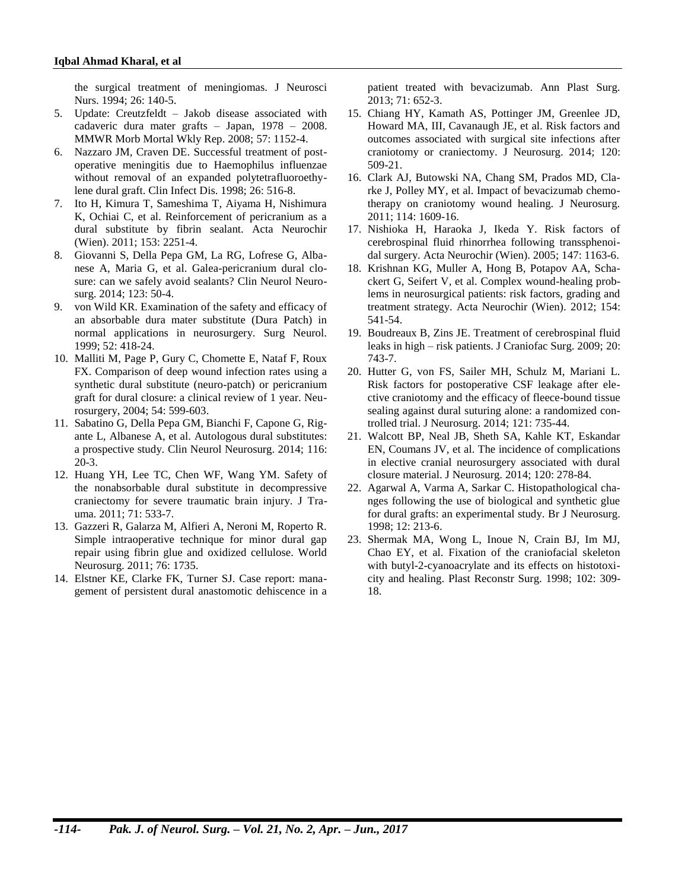the surgical treatment of meningiomas. J Neurosci Nurs. 1994; 26: 140-5.

- 5. Update: Creutzfeldt Jakob disease associated with cadaveric dura mater grafts – Japan, 1978 – 2008. MMWR Morb Mortal Wkly Rep. 2008; 57: 1152-4.
- 6. Nazzaro JM, Craven DE. Successful treatment of postoperative meningitis due to Haemophilus influenzae without removal of an expanded polytetrafluoroethylene dural graft. Clin Infect Dis. 1998; 26: 516-8.
- 7. Ito H, Kimura T, Sameshima T, Aiyama H, Nishimura K, Ochiai C, et al. Reinforcement of pericranium as a dural substitute by fibrin sealant. Acta Neurochir (Wien). 2011; 153: 2251-4.
- 8. Giovanni S, Della Pepa GM, La RG, Lofrese G, Albanese A, Maria G, et al. Galea-pericranium dural closure: can we safely avoid sealants? Clin Neurol Neurosurg. 2014; 123: 50-4.
- 9. von Wild KR. Examination of the safety and efficacy of an absorbable dura mater substitute (Dura Patch) in normal applications in neurosurgery. Surg Neurol. 1999; 52: 418-24.
- 10. Malliti M, Page P, Gury C, Chomette E, Nataf F, Roux FX. Comparison of deep wound infection rates using a synthetic dural substitute (neuro-patch) or pericranium graft for dural closure: a clinical review of 1 year. Neurosurgery, 2004; 54: 599-603.
- 11. Sabatino G, Della Pepa GM, Bianchi F, Capone G, Rigante L, Albanese A, et al. Autologous dural substitutes: a prospective study. Clin Neurol Neurosurg. 2014; 116: 20-3.
- 12. Huang YH, Lee TC, Chen WF, Wang YM. Safety of the nonabsorbable dural substitute in decompressive craniectomy for severe traumatic brain injury. J Trauma. 2011; 71: 533-7.
- 13. Gazzeri R, Galarza M, Alfieri A, Neroni M, Roperto R. Simple intraoperative technique for minor dural gap repair using fibrin glue and oxidized cellulose. World Neurosurg. 2011; 76: 1735.
- 14. Elstner KE, Clarke FK, Turner SJ. Case report: management of persistent dural anastomotic dehiscence in a

patient treated with bevacizumab. Ann Plast Surg. 2013; 71: 652-3.

- 15. Chiang HY, Kamath AS, Pottinger JM, Greenlee JD, Howard MA, III, Cavanaugh JE, et al. Risk factors and outcomes associated with surgical site infections after craniotomy or craniectomy. J Neurosurg. 2014; 120: 509-21.
- 16. Clark AJ, Butowski NA, Chang SM, Prados MD, Clarke J, Polley MY, et al. Impact of bevacizumab chemotherapy on craniotomy wound healing. J Neurosurg. 2011; 114: 1609-16.
- 17. Nishioka H, Haraoka J, Ikeda Y. Risk factors of cerebrospinal fluid rhinorrhea following transsphenoidal surgery. Acta Neurochir (Wien). 2005; 147: 1163-6.
- 18. Krishnan KG, Muller A, Hong B, Potapov AA, Schackert G, Seifert V, et al. Complex wound-healing problems in neurosurgical patients: risk factors, grading and treatment strategy. Acta Neurochir (Wien). 2012; 154: 541-54.
- 19. Boudreaux B, Zins JE. Treatment of cerebrospinal fluid leaks in high – risk patients. J Craniofac Surg. 2009; 20: 743-7.
- 20. Hutter G, von FS, Sailer MH, Schulz M, Mariani L. Risk factors for postoperative CSF leakage after elective craniotomy and the efficacy of fleece-bound tissue sealing against dural suturing alone: a randomized controlled trial. J Neurosurg. 2014; 121: 735-44.
- 21. Walcott BP, Neal JB, Sheth SA, Kahle KT, Eskandar EN, Coumans JV, et al. The incidence of complications in elective cranial neurosurgery associated with dural closure material. J Neurosurg. 2014; 120: 278-84.
- 22. Agarwal A, Varma A, Sarkar C. Histopathological changes following the use of biological and synthetic glue for dural grafts: an experimental study. Br J Neurosurg. 1998; 12: 213-6.
- 23. Shermak MA, Wong L, Inoue N, Crain BJ, Im MJ, Chao EY, et al. Fixation of the craniofacial skeleton with butyl-2-cyanoacrylate and its effects on histotoxicity and healing. Plast Reconstr Surg. 1998; 102: 309- 18.